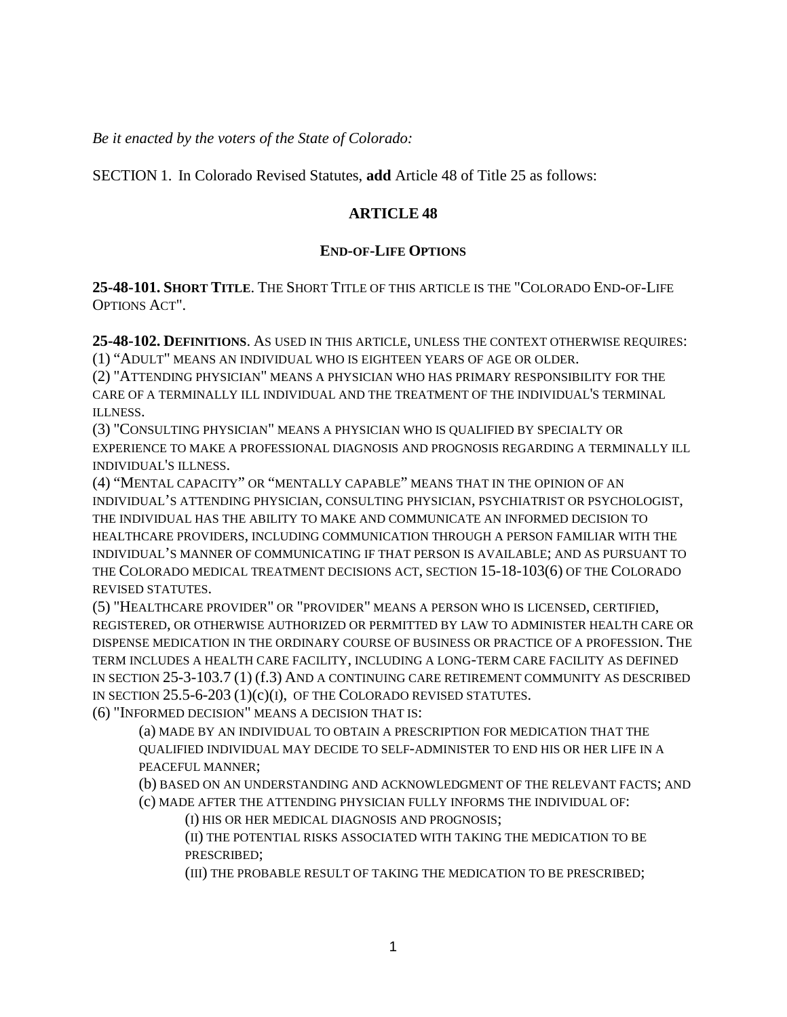*Be it enacted by the voters of the State of Colorado:*

SECTION 1. In Colorado Revised Statutes, **add** Article 48 of Title 25 as follows:

## **ARTICLE 48**

### **END-OF-LIFE OPTIONS**

**25-48-101. SHORT TITLE**. THE SHORT TITLE OF THIS ARTICLE IS THE "COLORADO END-OF-LIFE OPTIONS ACT".

**25-48-102. DEFINITIONS**. AS USED IN THIS ARTICLE, UNLESS THE CONTEXT OTHERWISE REQUIRES: (1) "ADULT" MEANS AN INDIVIDUAL WHO IS EIGHTEEN YEARS OF AGE OR OLDER.

(2) "ATTENDING PHYSICIAN" MEANS A PHYSICIAN WHO HAS PRIMARY RESPONSIBILITY FOR THE CARE OF A TERMINALLY ILL INDIVIDUAL AND THE TREATMENT OF THE INDIVIDUAL'S TERMINAL ILLNESS.

(3) "CONSULTING PHYSICIAN" MEANS A PHYSICIAN WHO IS QUALIFIED BY SPECIALTY OR EXPERIENCE TO MAKE A PROFESSIONAL DIAGNOSIS AND PROGNOSIS REGARDING A TERMINALLY ILL INDIVIDUAL'S ILLNESS.

(4) "MENTAL CAPACITY" OR "MENTALLY CAPABLE" MEANS THAT IN THE OPINION OF AN INDIVIDUAL'S ATTENDING PHYSICIAN, CONSULTING PHYSICIAN, PSYCHIATRIST OR PSYCHOLOGIST, THE INDIVIDUAL HAS THE ABILITY TO MAKE AND COMMUNICATE AN INFORMED DECISION TO HEALTHCARE PROVIDERS, INCLUDING COMMUNICATION THROUGH A PERSON FAMILIAR WITH THE INDIVIDUAL'S MANNER OF COMMUNICATING IF THAT PERSON IS AVAILABLE; AND AS PURSUANT TO THE COLORADO MEDICAL TREATMENT DECISIONS ACT, SECTION 15-18-103(6) OF THE COLORADO REVISED STATUTES.

(5) "HEALTHCARE PROVIDER" OR "PROVIDER" MEANS A PERSON WHO IS LICENSED, CERTIFIED, REGISTERED, OR OTHERWISE AUTHORIZED OR PERMITTED BY LAW TO ADMINISTER HEALTH CARE OR DISPENSE MEDICATION IN THE ORDINARY COURSE OF BUSINESS OR PRACTICE OF A PROFESSION. THE TERM INCLUDES A HEALTH CARE FACILITY, INCLUDING A LONG-TERM CARE FACILITY AS DEFINED IN SECTION 25-3-103.7 (1) (f.3) AND A CONTINUING CARE RETIREMENT COMMUNITY AS DESCRIBED IN SECTION 25.5-6-203 (1)(c)(I), OF THE COLORADO REVISED STATUTES.

(6) "INFORMED DECISION" MEANS A DECISION THAT IS:

(a) MADE BY AN INDIVIDUAL TO OBTAIN A PRESCRIPTION FOR MEDICATION THAT THE QUALIFIED INDIVIDUAL MAY DECIDE TO SELF-ADMINISTER TO END HIS OR HER LIFE IN A PEACEFUL MANNER;

(b) BASED ON AN UNDERSTANDING AND ACKNOWLEDGMENT OF THE RELEVANT FACTS; AND (c) MADE AFTER THE ATTENDING PHYSICIAN FULLY INFORMS THE INDIVIDUAL OF:

(I) HIS OR HER MEDICAL DIAGNOSIS AND PROGNOSIS;

(II) THE POTENTIAL RISKS ASSOCIATED WITH TAKING THE MEDICATION TO BE PRESCRIBED;

(III) THE PROBABLE RESULT OF TAKING THE MEDICATION TO BE PRESCRIBED;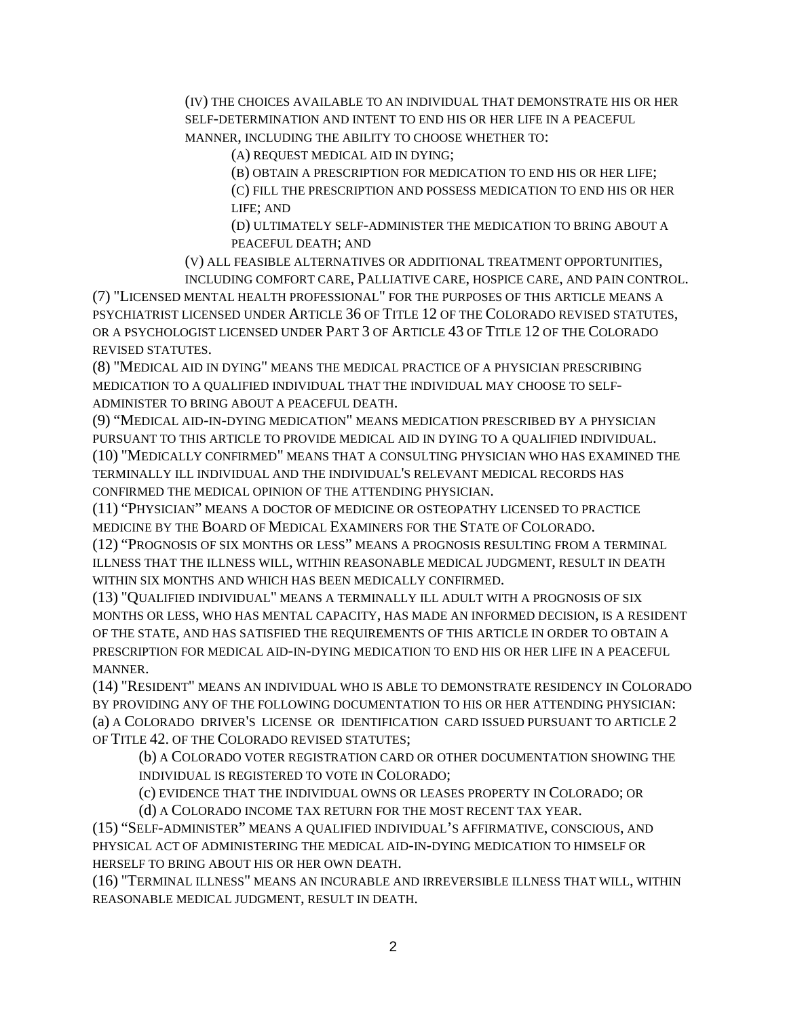(IV) THE CHOICES AVAILABLE TO AN INDIVIDUAL THAT DEMONSTRATE HIS OR HER SELF-DETERMINATION AND INTENT TO END HIS OR HER LIFE IN A PEACEFUL MANNER, INCLUDING THE ABILITY TO CHOOSE WHETHER TO:

(A) REQUEST MEDICAL AID IN DYING;

(B) OBTAIN A PRESCRIPTION FOR MEDICATION TO END HIS OR HER LIFE; (C) FILL THE PRESCRIPTION AND POSSESS MEDICATION TO END HIS OR HER LIFE; AND

(D) ULTIMATELY SELF-ADMINISTER THE MEDICATION TO BRING ABOUT A PEACEFUL DEATH; AND

(V) ALL FEASIBLE ALTERNATIVES OR ADDITIONAL TREATMENT OPPORTUNITIES, INCLUDING COMFORT CARE, PALLIATIVE CARE, HOSPICE CARE, AND PAIN CONTROL.

(7) "LICENSED MENTAL HEALTH PROFESSIONAL" FOR THE PURPOSES OF THIS ARTICLE MEANS A PSYCHIATRIST LICENSED UNDER ARTICLE 36 OF TITLE 12 OF THE COLORADO REVISED STATUTES, OR A PSYCHOLOGIST LICENSED UNDER PART 3 OF ARTICLE 43 OF TITLE 12 OF THE COLORADO REVISED STATUTES.

(8) "MEDICAL AID IN DYING" MEANS THE MEDICAL PRACTICE OF A PHYSICIAN PRESCRIBING MEDICATION TO A QUALIFIED INDIVIDUAL THAT THE INDIVIDUAL MAY CHOOSE TO SELF-ADMINISTER TO BRING ABOUT A PEACEFUL DEATH.

(9) "MEDICAL AID-IN-DYING MEDICATION" MEANS MEDICATION PRESCRIBED BY A PHYSICIAN PURSUANT TO THIS ARTICLE TO PROVIDE MEDICAL AID IN DYING TO A QUALIFIED INDIVIDUAL. (10) "MEDICALLY CONFIRMED" MEANS THAT A CONSULTING PHYSICIAN WHO HAS EXAMINED THE TERMINALLY ILL INDIVIDUAL AND THE INDIVIDUAL'S RELEVANT MEDICAL RECORDS HAS CONFIRMED THE MEDICAL OPINION OF THE ATTENDING PHYSICIAN.

(11) "PHYSICIAN" MEANS A DOCTOR OF MEDICINE OR OSTEOPATHY LICENSED TO PRACTICE MEDICINE BY THE BOARD OF MEDICAL EXAMINERS FOR THE STATE OF COLORADO.

(12) "PROGNOSIS OF SIX MONTHS OR LESS" MEANS A PROGNOSIS RESULTING FROM A TERMINAL ILLNESS THAT THE ILLNESS WILL, WITHIN REASONABLE MEDICAL JUDGMENT, RESULT IN DEATH WITHIN SIX MONTHS AND WHICH HAS BEEN MEDICALLY CONFIRMED.

(13) "QUALIFIED INDIVIDUAL" MEANS A TERMINALLY ILL ADULT WITH A PROGNOSIS OF SIX MONTHS OR LESS, WHO HAS MENTAL CAPACITY, HAS MADE AN INFORMED DECISION, IS A RESIDENT OF THE STATE, AND HAS SATISFIED THE REQUIREMENTS OF THIS ARTICLE IN ORDER TO OBTAIN A PRESCRIPTION FOR MEDICAL AID-IN-DYING MEDICATION TO END HIS OR HER LIFE IN A PEACEFUL MANNER.

(14) "RESIDENT" MEANS AN INDIVIDUAL WHO IS ABLE TO DEMONSTRATE RESIDENCY IN COLORADO BY PROVIDING ANY OF THE FOLLOWING DOCUMENTATION TO HIS OR HER ATTENDING PHYSICIAN: (a) A COLORADO DRIVER'S LICENSE OR IDENTIFICATION CARD ISSUED PURSUANT TO ARTICLE 2 OF TITLE 42. OF THE COLORADO REVISED STATUTES;

(b) A COLORADO VOTER REGISTRATION CARD OR OTHER DOCUMENTATION SHOWING THE INDIVIDUAL IS REGISTERED TO VOTE IN COLORADO;

(c) EVIDENCE THAT THE INDIVIDUAL OWNS OR LEASES PROPERTY IN COLORADO; OR

(d) A COLORADO INCOME TAX RETURN FOR THE MOST RECENT TAX YEAR.

(15) "SELF-ADMINISTER" MEANS A QUALIFIED INDIVIDUAL'S AFFIRMATIVE, CONSCIOUS, AND PHYSICAL ACT OF ADMINISTERING THE MEDICAL AID-IN-DYING MEDICATION TO HIMSELF OR HERSELF TO BRING ABOUT HIS OR HER OWN DEATH.

(16) "TERMINAL ILLNESS" MEANS AN INCURABLE AND IRREVERSIBLE ILLNESS THAT WILL, WITHIN REASONABLE MEDICAL JUDGMENT, RESULT IN DEATH.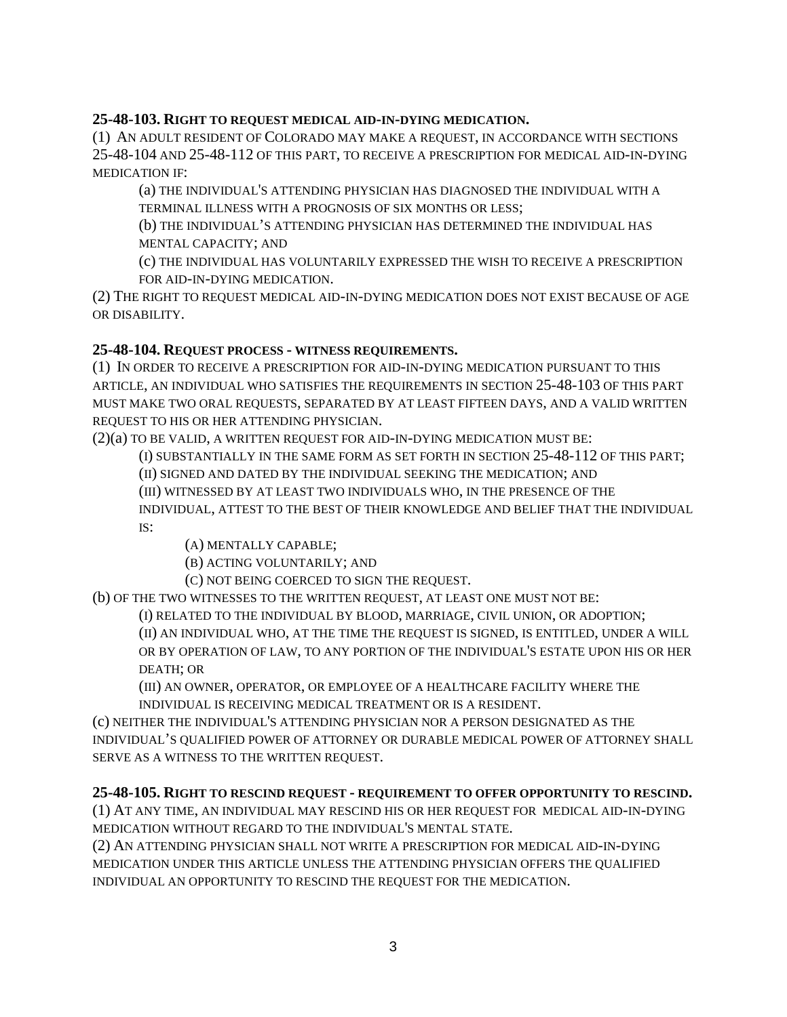### **25-48-103. RIGHT TO REQUEST MEDICAL AID-IN-DYING MEDICATION.**

(1) AN ADULT RESIDENT OF COLORADO MAY MAKE A REQUEST, IN ACCORDANCE WITH SECTIONS 25-48-104 AND 25-48-112 OF THIS PART, TO RECEIVE A PRESCRIPTION FOR MEDICAL AID-IN-DYING MEDICATION IF:

(a) THE INDIVIDUAL'S ATTENDING PHYSICIAN HAS DIAGNOSED THE INDIVIDUAL WITH A TERMINAL ILLNESS WITH A PROGNOSIS OF SIX MONTHS OR LESS;

(b) THE INDIVIDUAL'S ATTENDING PHYSICIAN HAS DETERMINED THE INDIVIDUAL HAS MENTAL CAPACITY; AND

(c) THE INDIVIDUAL HAS VOLUNTARILY EXPRESSED THE WISH TO RECEIVE A PRESCRIPTION FOR AID-IN-DYING MEDICATION.

(2) THE RIGHT TO REQUEST MEDICAL AID-IN-DYING MEDICATION DOES NOT EXIST BECAUSE OF AGE OR DISABILITY.

### **25-48-104. REQUEST PROCESS - WITNESS REQUIREMENTS.**

(1) IN ORDER TO RECEIVE A PRESCRIPTION FOR AID-IN-DYING MEDICATION PURSUANT TO THIS ARTICLE, AN INDIVIDUAL WHO SATISFIES THE REQUIREMENTS IN SECTION 25-48-103 OF THIS PART MUST MAKE TWO ORAL REQUESTS, SEPARATED BY AT LEAST FIFTEEN DAYS, AND A VALID WRITTEN REQUEST TO HIS OR HER ATTENDING PHYSICIAN.

(2)(a) TO BE VALID, A WRITTEN REQUEST FOR AID-IN-DYING MEDICATION MUST BE:

(I) SUBSTANTIALLY IN THE SAME FORM AS SET FORTH IN SECTION 25-48-112 OF THIS PART;

(II) SIGNED AND DATED BY THE INDIVIDUAL SEEKING THE MEDICATION; AND

(III) WITNESSED BY AT LEAST TWO INDIVIDUALS WHO, IN THE PRESENCE OF THE

INDIVIDUAL, ATTEST TO THE BEST OF THEIR KNOWLEDGE AND BELIEF THAT THE INDIVIDUAL IS:

(A) MENTALLY CAPABLE;

(B) ACTING VOLUNTARILY; AND

(C) NOT BEING COERCED TO SIGN THE REQUEST.

(b) OF THE TWO WITNESSES TO THE WRITTEN REQUEST, AT LEAST ONE MUST NOT BE:

(I) RELATED TO THE INDIVIDUAL BY BLOOD, MARRIAGE, CIVIL UNION, OR ADOPTION;

(II) AN INDIVIDUAL WHO, AT THE TIME THE REQUEST IS SIGNED, IS ENTITLED, UNDER A WILL OR BY OPERATION OF LAW, TO ANY PORTION OF THE INDIVIDUAL'S ESTATE UPON HIS OR HER

DEATH; OR

(III) AN OWNER, OPERATOR, OR EMPLOYEE OF A HEALTHCARE FACILITY WHERE THE INDIVIDUAL IS RECEIVING MEDICAL TREATMENT OR IS A RESIDENT.

(c) NEITHER THE INDIVIDUAL'S ATTENDING PHYSICIAN NOR A PERSON DESIGNATED AS THE INDIVIDUAL'S QUALIFIED POWER OF ATTORNEY OR DURABLE MEDICAL POWER OF ATTORNEY SHALL SERVE AS A WITNESS TO THE WRITTEN REQUEST.

### **25-48-105. RIGHT TO RESCIND REQUEST - REQUIREMENT TO OFFER OPPORTUNITY TO RESCIND.**

(1) AT ANY TIME, AN INDIVIDUAL MAY RESCIND HIS OR HER REQUEST FOR MEDICAL AID-IN-DYING MEDICATION WITHOUT REGARD TO THE INDIVIDUAL'S MENTAL STATE.

(2) AN ATTENDING PHYSICIAN SHALL NOT WRITE A PRESCRIPTION FOR MEDICAL AID-IN-DYING MEDICATION UNDER THIS ARTICLE UNLESS THE ATTENDING PHYSICIAN OFFERS THE QUALIFIED INDIVIDUAL AN OPPORTUNITY TO RESCIND THE REQUEST FOR THE MEDICATION.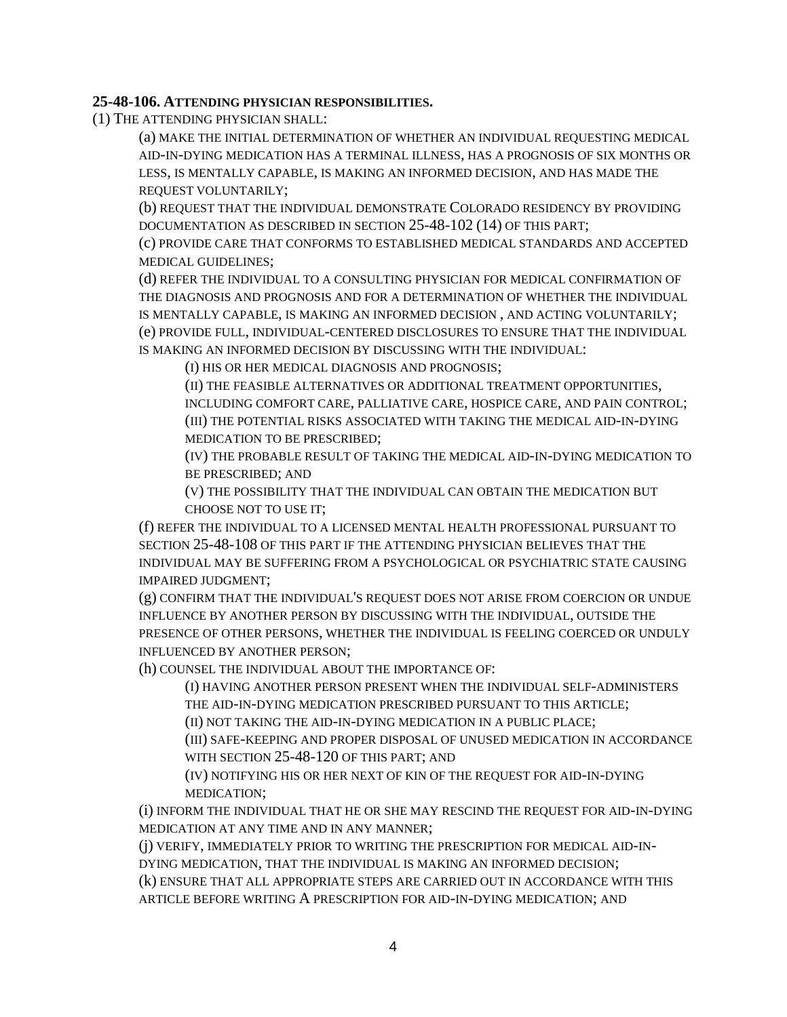#### **25-48-106. ATTENDING PHYSICIAN RESPONSIBILITIES.**

(1) THE ATTENDING PHYSICIAN SHALL:

(a) MAKE THE INITIAL DETERMINATION OF WHETHER AN INDIVIDUAL REQUESTING MEDICAL AID-IN-DYING MEDICATION HAS A TERMINAL ILLNESS, HAS A PROGNOSIS OF SIX MONTHS OR LESS, IS MENTALLY CAPABLE, IS MAKING AN INFORMED DECISION, AND HAS MADE THE REQUEST VOLUNTARILY;

(b) REQUEST THAT THE INDIVIDUAL DEMONSTRATE COLORADO RESIDENCY BY PROVIDING DOCUMENTATION AS DESCRIBED IN SECTION 25-48-102 (14) OF THIS PART;

(c) PROVIDE CARE THAT CONFORMS TO ESTABLISHED MEDICAL STANDARDS AND ACCEPTED MEDICAL GUIDELINES;

(d) REFER THE INDIVIDUAL TO A CONSULTING PHYSICIAN FOR MEDICAL CONFIRMATION OF THE DIAGNOSIS AND PROGNOSIS AND FOR A DETERMINATION OF WHETHER THE INDIVIDUAL IS MENTALLY CAPABLE, IS MAKING AN INFORMED DECISION , AND ACTING VOLUNTARILY; (e) PROVIDE FULL, INDIVIDUAL-CENTERED DISCLOSURES TO ENSURE THAT THE INDIVIDUAL IS MAKING AN INFORMED DECISION BY DISCUSSING WITH THE INDIVIDUAL:

(I) HIS OR HER MEDICAL DIAGNOSIS AND PROGNOSIS;

(II) THE FEASIBLE ALTERNATIVES OR ADDITIONAL TREATMENT OPPORTUNITIES, INCLUDING COMFORT CARE, PALLIATIVE CARE, HOSPICE CARE, AND PAIN CONTROL; (III) THE POTENTIAL RISKS ASSOCIATED WITH TAKING THE MEDICAL AID-IN-DYING MEDICATION TO BE PRESCRIBED;

(IV) THE PROBABLE RESULT OF TAKING THE MEDICAL AID-IN-DYING MEDICATION TO BE PRESCRIBED; AND

(V) THE POSSIBILITY THAT THE INDIVIDUAL CAN OBTAIN THE MEDICATION BUT CHOOSE NOT TO USE IT;

(f) REFER THE INDIVIDUAL TO A LICENSED MENTAL HEALTH PROFESSIONAL PURSUANT TO SECTION 25-48-108 OF THIS PART IF THE ATTENDING PHYSICIAN BELIEVES THAT THE INDIVIDUAL MAY BE SUFFERING FROM A PSYCHOLOGICAL OR PSYCHIATRIC STATE CAUSING IMPAIRED JUDGMENT;

(g) CONFIRM THAT THE INDIVIDUAL'S REQUEST DOES NOT ARISE FROM COERCION OR UNDUE INFLUENCE BY ANOTHER PERSON BY DISCUSSING WITH THE INDIVIDUAL, OUTSIDE THE PRESENCE OF OTHER PERSONS, WHETHER THE INDIVIDUAL IS FEELING COERCED OR UNDULY INFLUENCED BY ANOTHER PERSON;

(h) COUNSEL THE INDIVIDUAL ABOUT THE IMPORTANCE OF:

(I) HAVING ANOTHER PERSON PRESENT WHEN THE INDIVIDUAL SELF-ADMINISTERS THE AID-IN-DYING MEDICATION PRESCRIBED PURSUANT TO THIS ARTICLE;

(II) NOT TAKING THE AID-IN-DYING MEDICATION IN A PUBLIC PLACE;

(III) SAFE-KEEPING AND PROPER DISPOSAL OF UNUSED MEDICATION IN ACCORDANCE WITH SECTION 25-48-120 OF THIS PART; AND

(IV) NOTIFYING HIS OR HER NEXT OF KIN OF THE REQUEST FOR AID-IN-DYING MEDICATION;

(i) INFORM THE INDIVIDUAL THAT HE OR SHE MAY RESCIND THE REQUEST FOR AID-IN-DYING MEDICATION AT ANY TIME AND IN ANY MANNER;

(j) VERIFY, IMMEDIATELY PRIOR TO WRITING THE PRESCRIPTION FOR MEDICAL AID-IN-DYING MEDICATION, THAT THE INDIVIDUAL IS MAKING AN INFORMED DECISION;

(k) ENSURE THAT ALL APPROPRIATE STEPS ARE CARRIED OUT IN ACCORDANCE WITH THIS ARTICLE BEFORE WRITING A PRESCRIPTION FOR AID-IN-DYING MEDICATION; AND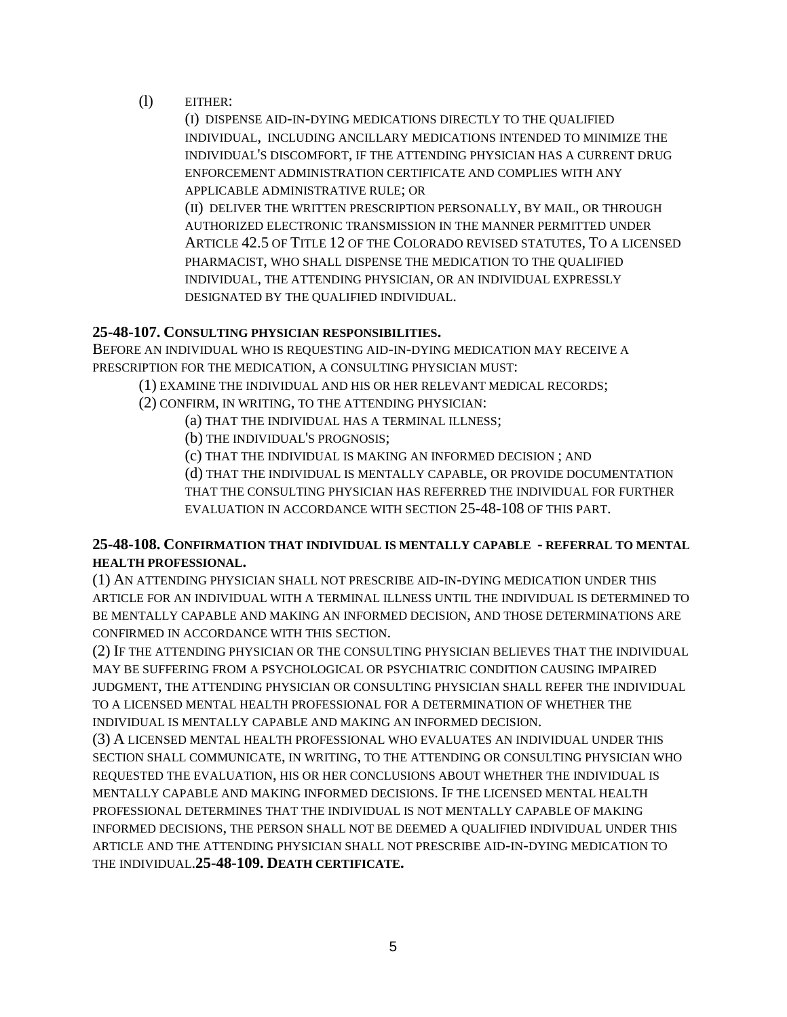(l) EITHER:

(I) DISPENSE AID-IN-DYING MEDICATIONS DIRECTLY TO THE QUALIFIED INDIVIDUAL, INCLUDING ANCILLARY MEDICATIONS INTENDED TO MINIMIZE THE INDIVIDUAL'S DISCOMFORT, IF THE ATTENDING PHYSICIAN HAS A CURRENT DRUG ENFORCEMENT ADMINISTRATION CERTIFICATE AND COMPLIES WITH ANY APPLICABLE ADMINISTRATIVE RULE; OR

(II) DELIVER THE WRITTEN PRESCRIPTION PERSONALLY, BY MAIL, OR THROUGH AUTHORIZED ELECTRONIC TRANSMISSION IN THE MANNER PERMITTED UNDER ARTICLE 42.5 OF TITLE 12 OF THE COLORADO REVISED STATUTES, TO A LICENSED PHARMACIST, WHO SHALL DISPENSE THE MEDICATION TO THE QUALIFIED INDIVIDUAL, THE ATTENDING PHYSICIAN, OR AN INDIVIDUAL EXPRESSLY DESIGNATED BY THE QUALIFIED INDIVIDUAL.

### **25-48-107. CONSULTING PHYSICIAN RESPONSIBILITIES.**

BEFORE AN INDIVIDUAL WHO IS REQUESTING AID-IN-DYING MEDICATION MAY RECEIVE A PRESCRIPTION FOR THE MEDICATION, A CONSULTING PHYSICIAN MUST:

(1) EXAMINE THE INDIVIDUAL AND HIS OR HER RELEVANT MEDICAL RECORDS;

- (2) CONFIRM, IN WRITING, TO THE ATTENDING PHYSICIAN:
	- (a) THAT THE INDIVIDUAL HAS A TERMINAL ILLNESS;
	- (b) THE INDIVIDUAL'S PROGNOSIS;

(c) THAT THE INDIVIDUAL IS MAKING AN INFORMED DECISION ; AND

(d) THAT THE INDIVIDUAL IS MENTALLY CAPABLE, OR PROVIDE DOCUMENTATION THAT THE CONSULTING PHYSICIAN HAS REFERRED THE INDIVIDUAL FOR FURTHER EVALUATION IN ACCORDANCE WITH SECTION 25-48-108 OF THIS PART.

### **25-48-108. CONFIRMATION THAT INDIVIDUAL IS MENTALLY CAPABLE - REFERRAL TO MENTAL HEALTH PROFESSIONAL.**

(1) AN ATTENDING PHYSICIAN SHALL NOT PRESCRIBE AID-IN-DYING MEDICATION UNDER THIS ARTICLE FOR AN INDIVIDUAL WITH A TERMINAL ILLNESS UNTIL THE INDIVIDUAL IS DETERMINED TO BE MENTALLY CAPABLE AND MAKING AN INFORMED DECISION, AND THOSE DETERMINATIONS ARE CONFIRMED IN ACCORDANCE WITH THIS SECTION.

(2) IF THE ATTENDING PHYSICIAN OR THE CONSULTING PHYSICIAN BELIEVES THAT THE INDIVIDUAL MAY BE SUFFERING FROM A PSYCHOLOGICAL OR PSYCHIATRIC CONDITION CAUSING IMPAIRED JUDGMENT, THE ATTENDING PHYSICIAN OR CONSULTING PHYSICIAN SHALL REFER THE INDIVIDUAL TO A LICENSED MENTAL HEALTH PROFESSIONAL FOR A DETERMINATION OF WHETHER THE INDIVIDUAL IS MENTALLY CAPABLE AND MAKING AN INFORMED DECISION.

(3) A LICENSED MENTAL HEALTH PROFESSIONAL WHO EVALUATES AN INDIVIDUAL UNDER THIS SECTION SHALL COMMUNICATE, IN WRITING, TO THE ATTENDING OR CONSULTING PHYSICIAN WHO REQUESTED THE EVALUATION, HIS OR HER CONCLUSIONS ABOUT WHETHER THE INDIVIDUAL IS MENTALLY CAPABLE AND MAKING INFORMED DECISIONS. IF THE LICENSED MENTAL HEALTH PROFESSIONAL DETERMINES THAT THE INDIVIDUAL IS NOT MENTALLY CAPABLE OF MAKING INFORMED DECISIONS, THE PERSON SHALL NOT BE DEEMED A QUALIFIED INDIVIDUAL UNDER THIS ARTICLE AND THE ATTENDING PHYSICIAN SHALL NOT PRESCRIBE AID-IN-DYING MEDICATION TO THE INDIVIDUAL.**25-48-109. DEATH CERTIFICATE.**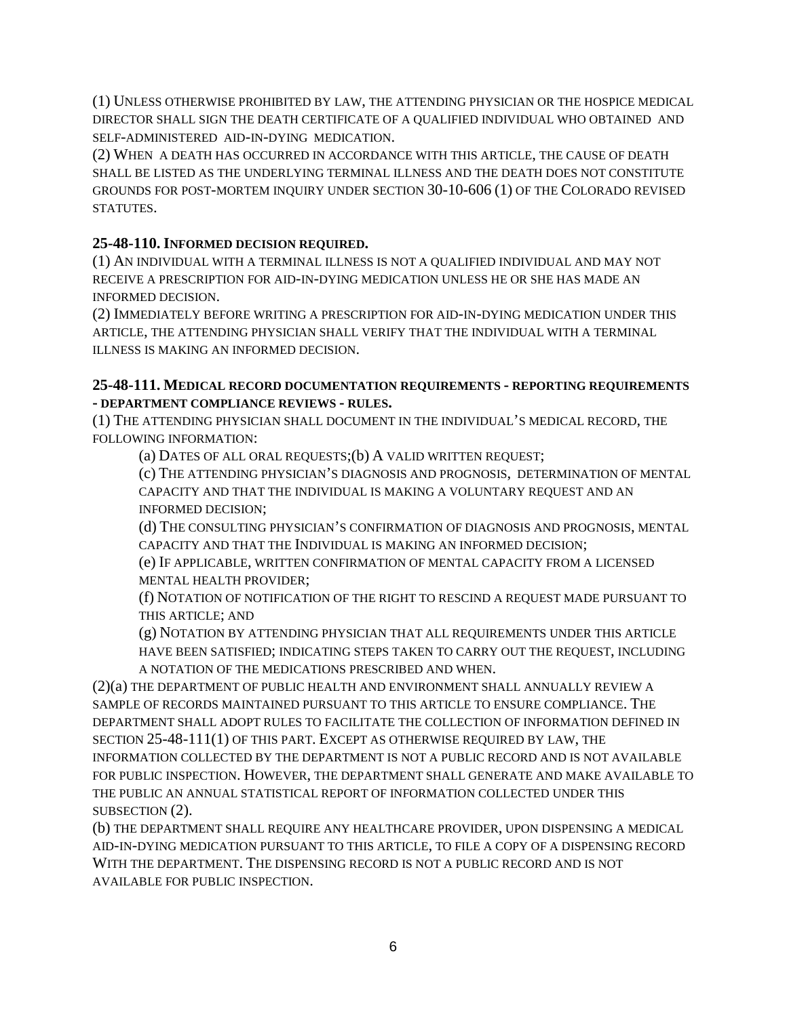(1) UNLESS OTHERWISE PROHIBITED BY LAW, THE ATTENDING PHYSICIAN OR THE HOSPICE MEDICAL DIRECTOR SHALL SIGN THE DEATH CERTIFICATE OF A QUALIFIED INDIVIDUAL WHO OBTAINED AND SELF-ADMINISTERED AID-IN-DYING MEDICATION.

(2) WHEN A DEATH HAS OCCURRED IN ACCORDANCE WITH THIS ARTICLE, THE CAUSE OF DEATH SHALL BE LISTED AS THE UNDERLYING TERMINAL ILLNESS AND THE DEATH DOES NOT CONSTITUTE GROUNDS FOR POST-MORTEM INQUIRY UNDER SECTION 30-10-606 (1) OF THE COLORADO REVISED STATUTES.

## **25-48-110. INFORMED DECISION REQUIRED.**

(1) AN INDIVIDUAL WITH A TERMINAL ILLNESS IS NOT A QUALIFIED INDIVIDUAL AND MAY NOT RECEIVE A PRESCRIPTION FOR AID-IN-DYING MEDICATION UNLESS HE OR SHE HAS MADE AN INFORMED DECISION.

(2) IMMEDIATELY BEFORE WRITING A PRESCRIPTION FOR AID-IN-DYING MEDICATION UNDER THIS ARTICLE, THE ATTENDING PHYSICIAN SHALL VERIFY THAT THE INDIVIDUAL WITH A TERMINAL ILLNESS IS MAKING AN INFORMED DECISION.

### **25-48-111. MEDICAL RECORD DOCUMENTATION REQUIREMENTS - REPORTING REQUIREMENTS - DEPARTMENT COMPLIANCE REVIEWS - RULES.**

(1) THE ATTENDING PHYSICIAN SHALL DOCUMENT IN THE INDIVIDUAL'S MEDICAL RECORD, THE FOLLOWING INFORMATION:

(a) DATES OF ALL ORAL REQUESTS;(b) A VALID WRITTEN REQUEST;

(c) THE ATTENDING PHYSICIAN'S DIAGNOSIS AND PROGNOSIS, DETERMINATION OF MENTAL CAPACITY AND THAT THE INDIVIDUAL IS MAKING A VOLUNTARY REQUEST AND AN INFORMED DECISION;

(d) THE CONSULTING PHYSICIAN'S CONFIRMATION OF DIAGNOSIS AND PROGNOSIS, MENTAL CAPACITY AND THAT THE INDIVIDUAL IS MAKING AN INFORMED DECISION;

(e) IF APPLICABLE, WRITTEN CONFIRMATION OF MENTAL CAPACITY FROM A LICENSED MENTAL HEALTH PROVIDER;

(f) NOTATION OF NOTIFICATION OF THE RIGHT TO RESCIND A REQUEST MADE PURSUANT TO THIS ARTICLE; AND

(g) NOTATION BY ATTENDING PHYSICIAN THAT ALL REQUIREMENTS UNDER THIS ARTICLE HAVE BEEN SATISFIED; INDICATING STEPS TAKEN TO CARRY OUT THE REQUEST, INCLUDING A NOTATION OF THE MEDICATIONS PRESCRIBED AND WHEN.

(2)(a) THE DEPARTMENT OF PUBLIC HEALTH AND ENVIRONMENT SHALL ANNUALLY REVIEW A SAMPLE OF RECORDS MAINTAINED PURSUANT TO THIS ARTICLE TO ENSURE COMPLIANCE. THE DEPARTMENT SHALL ADOPT RULES TO FACILITATE THE COLLECTION OF INFORMATION DEFINED IN SECTION 25-48-111(1) OF THIS PART. EXCEPT AS OTHERWISE REQUIRED BY LAW, THE INFORMATION COLLECTED BY THE DEPARTMENT IS NOT A PUBLIC RECORD AND IS NOT AVAILABLE FOR PUBLIC INSPECTION. HOWEVER, THE DEPARTMENT SHALL GENERATE AND MAKE AVAILABLE TO THE PUBLIC AN ANNUAL STATISTICAL REPORT OF INFORMATION COLLECTED UNDER THIS SUBSECTION (2).

(b) THE DEPARTMENT SHALL REQUIRE ANY HEALTHCARE PROVIDER, UPON DISPENSING A MEDICAL AID-IN-DYING MEDICATION PURSUANT TO THIS ARTICLE, TO FILE A COPY OF A DISPENSING RECORD WITH THE DEPARTMENT. THE DISPENSING RECORD IS NOT A PUBLIC RECORD AND IS NOT AVAILABLE FOR PUBLIC INSPECTION.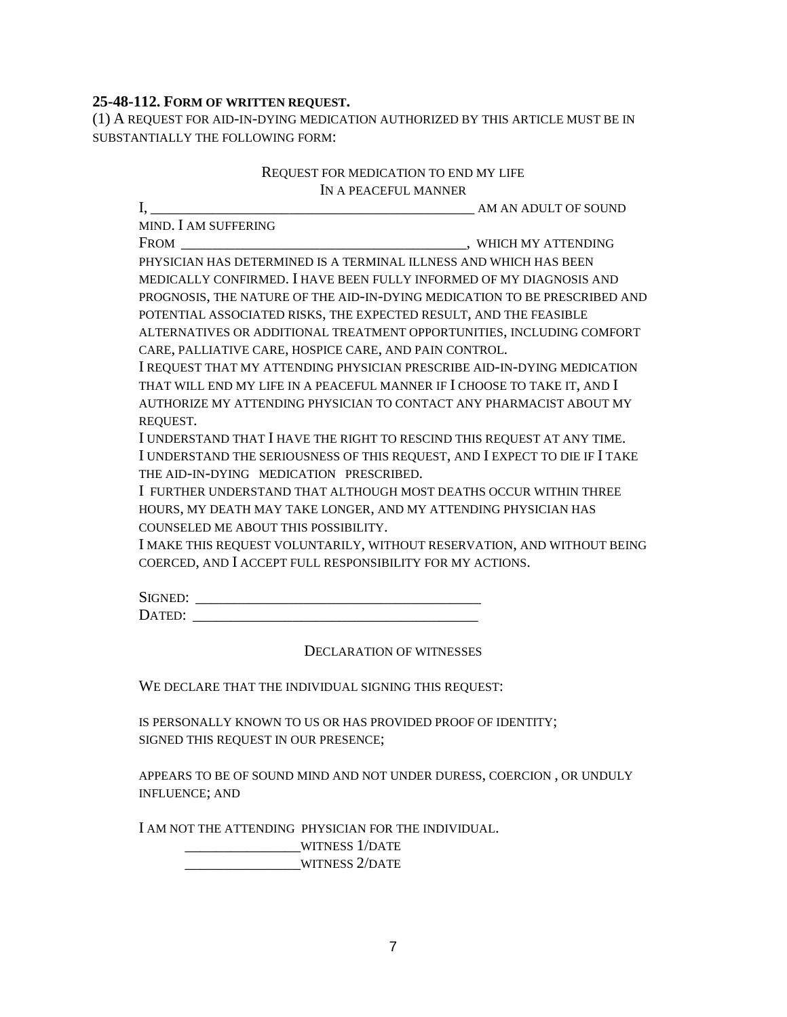### **25-48-112. FORM OF WRITTEN REQUEST.**

(1) A REQUEST FOR AID-IN-DYING MEDICATION AUTHORIZED BY THIS ARTICLE MUST BE IN SUBSTANTIALLY THE FOLLOWING FORM:

#### REQUEST FOR MEDICATION TO END MY LIFE IN A PEACEFUL MANNER

I, \_\_\_\_\_\_\_\_\_\_\_\_\_\_\_\_\_\_\_\_\_\_\_\_\_\_\_\_\_\_\_\_\_\_\_\_\_\_\_\_\_\_ AM AN ADULT OF SOUND MIND. I AM SUFFERING FROM \_\_\_\_\_\_\_\_\_\_\_\_\_\_\_\_\_\_\_\_\_\_\_\_\_\_\_\_\_\_\_\_\_\_\_\_\_, WHICH MY ATTENDING PHYSICIAN HAS DETERMINED IS A TERMINAL ILLNESS AND WHICH HAS BEEN MEDICALLY CONFIRMED. I HAVE BEEN FULLY INFORMED OF MY DIAGNOSIS AND PROGNOSIS, THE NATURE OF THE AID-IN-DYING MEDICATION TO BE PRESCRIBED AND POTENTIAL ASSOCIATED RISKS, THE EXPECTED RESULT, AND THE FEASIBLE ALTERNATIVES OR ADDITIONAL TREATMENT OPPORTUNITIES, INCLUDING COMFORT CARE, PALLIATIVE CARE, HOSPICE CARE, AND PAIN CONTROL. I REQUEST THAT MY ATTENDING PHYSICIAN PRESCRIBE AID-IN-DYING MEDICATION THAT WILL END MY LIFE IN A PEACEFUL MANNER IF I CHOOSE TO TAKE IT, AND I AUTHORIZE MY ATTENDING PHYSICIAN TO CONTACT ANY PHARMACIST ABOUT MY REQUEST. I UNDERSTAND THAT I HAVE THE RIGHT TO RESCIND THIS REQUEST AT ANY TIME. I UNDERSTAND THE SERIOUSNESS OF THIS REQUEST, AND I EXPECT TO DIE IF I TAKE THE AID-IN-DYING MEDICATION PRESCRIBED. I FURTHER UNDERSTAND THAT ALTHOUGH MOST DEATHS OCCUR WITHIN THREE HOURS, MY DEATH MAY TAKE LONGER, AND MY ATTENDING PHYSICIAN HAS COUNSELED ME ABOUT THIS POSSIBILITY. I MAKE THIS REQUEST VOLUNTARILY, WITHOUT RESERVATION, AND WITHOUT BEING COERCED, AND I ACCEPT FULL RESPONSIBILITY FOR MY ACTIONS. SIGNED: \_\_\_\_\_\_\_\_\_\_\_\_\_\_\_\_\_\_\_\_\_\_\_\_\_\_\_\_\_\_\_\_\_\_\_\_\_ DATED: \_\_\_\_\_\_\_\_\_\_\_\_\_\_\_\_\_\_\_\_\_\_\_\_\_\_\_\_\_\_\_\_\_\_\_\_\_

DECLARATION OF WITNESSES

WE DECLARE THAT THE INDIVIDUAL SIGNING THIS REQUEST:

IS PERSONALLY KNOWN TO US OR HAS PROVIDED PROOF OF IDENTITY; SIGNED THIS REQUEST IN OUR PRESENCE;

APPEARS TO BE OF SOUND MIND AND NOT UNDER DURESS, COERCION , OR UNDULY INFLUENCE; AND

I AM NOT THE ATTENDING PHYSICIAN FOR THE INDIVIDUAL.

\_\_\_\_\_\_\_\_\_\_\_\_\_\_\_WITNESS 1/DATE \_\_\_\_\_\_\_\_\_\_\_\_\_\_\_WITNESS 2/DATE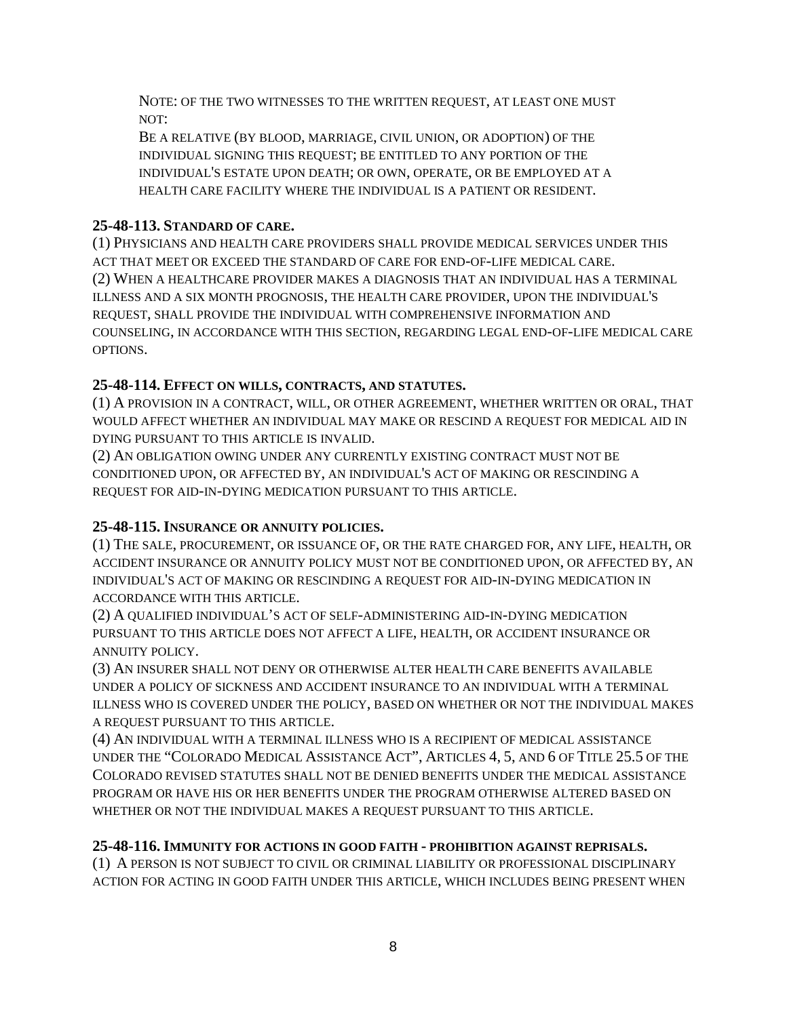NOTE: OF THE TWO WITNESSES TO THE WRITTEN REQUEST, AT LEAST ONE MUST NOT:

BE A RELATIVE (BY BLOOD, MARRIAGE, CIVIL UNION, OR ADOPTION) OF THE INDIVIDUAL SIGNING THIS REQUEST; BE ENTITLED TO ANY PORTION OF THE INDIVIDUAL'S ESTATE UPON DEATH; OR OWN, OPERATE, OR BE EMPLOYED AT A HEALTH CARE FACILITY WHERE THE INDIVIDUAL IS A PATIENT OR RESIDENT.

# **25-48-113. STANDARD OF CARE.**

(1) PHYSICIANS AND HEALTH CARE PROVIDERS SHALL PROVIDE MEDICAL SERVICES UNDER THIS ACT THAT MEET OR EXCEED THE STANDARD OF CARE FOR END-OF-LIFE MEDICAL CARE. (2) WHEN A HEALTHCARE PROVIDER MAKES A DIAGNOSIS THAT AN INDIVIDUAL HAS A TERMINAL ILLNESS AND A SIX MONTH PROGNOSIS, THE HEALTH CARE PROVIDER, UPON THE INDIVIDUAL'S REQUEST, SHALL PROVIDE THE INDIVIDUAL WITH COMPREHENSIVE INFORMATION AND COUNSELING, IN ACCORDANCE WITH THIS SECTION, REGARDING LEGAL END-OF-LIFE MEDICAL CARE OPTIONS.

## **25-48-114. EFFECT ON WILLS, CONTRACTS, AND STATUTES.**

(1) A PROVISION IN A CONTRACT, WILL, OR OTHER AGREEMENT, WHETHER WRITTEN OR ORAL, THAT WOULD AFFECT WHETHER AN INDIVIDUAL MAY MAKE OR RESCIND A REQUEST FOR MEDICAL AID IN DYING PURSUANT TO THIS ARTICLE IS INVALID.

(2) AN OBLIGATION OWING UNDER ANY CURRENTLY EXISTING CONTRACT MUST NOT BE CONDITIONED UPON, OR AFFECTED BY, AN INDIVIDUAL'S ACT OF MAKING OR RESCINDING A REQUEST FOR AID-IN-DYING MEDICATION PURSUANT TO THIS ARTICLE.

## **25-48-115. INSURANCE OR ANNUITY POLICIES.**

(1) THE SALE, PROCUREMENT, OR ISSUANCE OF, OR THE RATE CHARGED FOR, ANY LIFE, HEALTH, OR ACCIDENT INSURANCE OR ANNUITY POLICY MUST NOT BE CONDITIONED UPON, OR AFFECTED BY, AN INDIVIDUAL'S ACT OF MAKING OR RESCINDING A REQUEST FOR AID-IN-DYING MEDICATION IN ACCORDANCE WITH THIS ARTICLE.

(2) A QUALIFIED INDIVIDUAL'S ACT OF SELF-ADMINISTERING AID-IN-DYING MEDICATION PURSUANT TO THIS ARTICLE DOES NOT AFFECT A LIFE, HEALTH, OR ACCIDENT INSURANCE OR ANNUITY POLICY.

(3) AN INSURER SHALL NOT DENY OR OTHERWISE ALTER HEALTH CARE BENEFITS AVAILABLE UNDER A POLICY OF SICKNESS AND ACCIDENT INSURANCE TO AN INDIVIDUAL WITH A TERMINAL ILLNESS WHO IS COVERED UNDER THE POLICY, BASED ON WHETHER OR NOT THE INDIVIDUAL MAKES A REQUEST PURSUANT TO THIS ARTICLE.

(4) AN INDIVIDUAL WITH A TERMINAL ILLNESS WHO IS A RECIPIENT OF MEDICAL ASSISTANCE UNDER THE "COLORADO MEDICAL ASSISTANCE ACT", ARTICLES 4, 5, AND 6 OF TITLE 25.5 OF THE COLORADO REVISED STATUTES SHALL NOT BE DENIED BENEFITS UNDER THE MEDICAL ASSISTANCE PROGRAM OR HAVE HIS OR HER BENEFITS UNDER THE PROGRAM OTHERWISE ALTERED BASED ON WHETHER OR NOT THE INDIVIDUAL MAKES A REQUEST PURSUANT TO THIS ARTICLE.

## **25-48-116. IMMUNITY FOR ACTIONS IN GOOD FAITH - PROHIBITION AGAINST REPRISALS.**

(1) A PERSON IS NOT SUBJECT TO CIVIL OR CRIMINAL LIABILITY OR PROFESSIONAL DISCIPLINARY ACTION FOR ACTING IN GOOD FAITH UNDER THIS ARTICLE, WHICH INCLUDES BEING PRESENT WHEN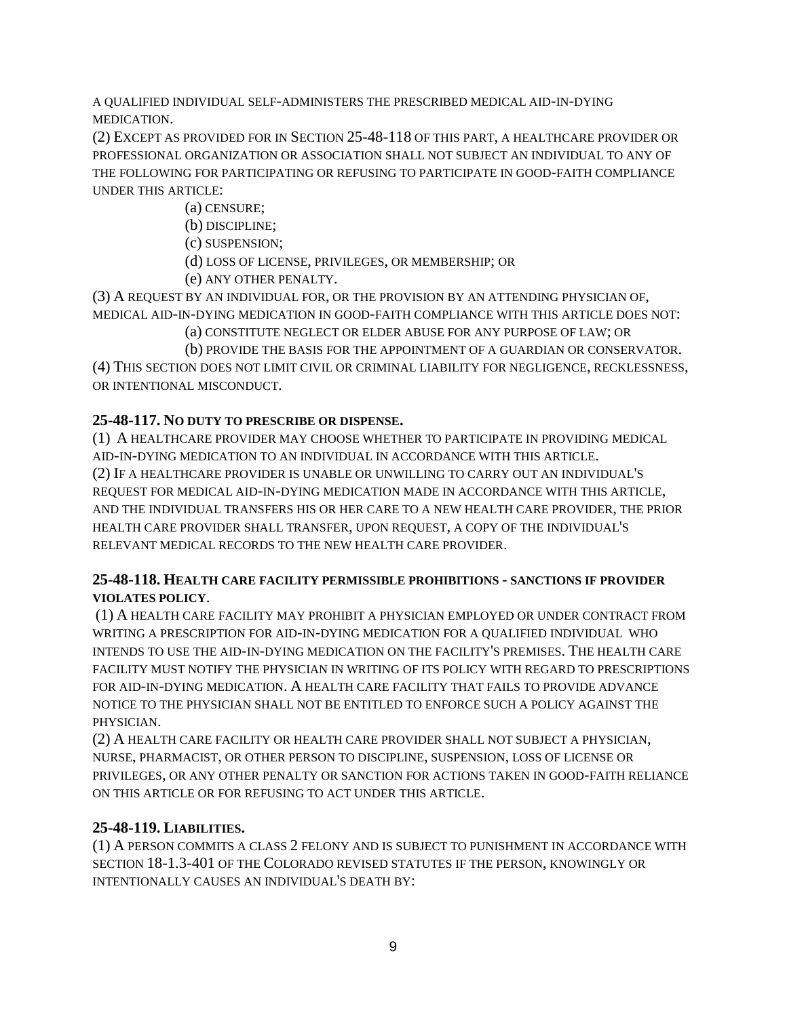A QUALIFIED INDIVIDUAL SELF-ADMINISTERS THE PRESCRIBED MEDICAL AID-IN-DYING MEDICATION.

(2) EXCEPT AS PROVIDED FOR IN SECTION 25-48-118 OF THIS PART, A HEALTHCARE PROVIDER OR PROFESSIONAL ORGANIZATION OR ASSOCIATION SHALL NOT SUBJECT AN INDIVIDUAL TO ANY OF THE FOLLOWING FOR PARTICIPATING OR REFUSING TO PARTICIPATE IN GOOD-FAITH COMPLIANCE UNDER THIS ARTICLE:

(a) CENSURE;

(b) DISCIPLINE;

(c) SUSPENSION;

(d) LOSS OF LICENSE, PRIVILEGES, OR MEMBERSHIP; OR

(e) ANY OTHER PENALTY.

(3) A REQUEST BY AN INDIVIDUAL FOR, OR THE PROVISION BY AN ATTENDING PHYSICIAN OF, MEDICAL AID-IN-DYING MEDICATION IN GOOD-FAITH COMPLIANCE WITH THIS ARTICLE DOES NOT:

(a) CONSTITUTE NEGLECT OR ELDER ABUSE FOR ANY PURPOSE OF LAW; OR

(b) PROVIDE THE BASIS FOR THE APPOINTMENT OF A GUARDIAN OR CONSERVATOR. (4) THIS SECTION DOES NOT LIMIT CIVIL OR CRIMINAL LIABILITY FOR NEGLIGENCE, RECKLESSNESS, OR INTENTIONAL MISCONDUCT.

# **25-48-117. NO DUTY TO PRESCRIBE OR DISPENSE.**

(1) A HEALTHCARE PROVIDER MAY CHOOSE WHETHER TO PARTICIPATE IN PROVIDING MEDICAL AID-IN-DYING MEDICATION TO AN INDIVIDUAL IN ACCORDANCE WITH THIS ARTICLE. (2) IF A HEALTHCARE PROVIDER IS UNABLE OR UNWILLING TO CARRY OUT AN INDIVIDUAL'S REQUEST FOR MEDICAL AID-IN-DYING MEDICATION MADE IN ACCORDANCE WITH THIS ARTICLE, AND THE INDIVIDUAL TRANSFERS HIS OR HER CARE TO A NEW HEALTH CARE PROVIDER, THE PRIOR HEALTH CARE PROVIDER SHALL TRANSFER, UPON REQUEST, A COPY OF THE INDIVIDUAL'S RELEVANT MEDICAL RECORDS TO THE NEW HEALTH CARE PROVIDER.

## **25-48-118. HEALTH CARE FACILITY PERMISSIBLE PROHIBITIONS - SANCTIONS IF PROVIDER VIOLATES POLICY**.

(1) A HEALTH CARE FACILITY MAY PROHIBIT A PHYSICIAN EMPLOYED OR UNDER CONTRACT FROM WRITING A PRESCRIPTION FOR AID-IN-DYING MEDICATION FOR A QUALIFIED INDIVIDUAL WHO INTENDS TO USE THE AID-IN-DYING MEDICATION ON THE FACILITY'S PREMISES. THE HEALTH CARE FACILITY MUST NOTIFY THE PHYSICIAN IN WRITING OF ITS POLICY WITH REGARD TO PRESCRIPTIONS FOR AID-IN-DYING MEDICATION. A HEALTH CARE FACILITY THAT FAILS TO PROVIDE ADVANCE NOTICE TO THE PHYSICIAN SHALL NOT BE ENTITLED TO ENFORCE SUCH A POLICY AGAINST THE PHYSICIAN.

(2) A HEALTH CARE FACILITY OR HEALTH CARE PROVIDER SHALL NOT SUBJECT A PHYSICIAN, NURSE, PHARMACIST, OR OTHER PERSON TO DISCIPLINE, SUSPENSION, LOSS OF LICENSE OR PRIVILEGES, OR ANY OTHER PENALTY OR SANCTION FOR ACTIONS TAKEN IN GOOD-FAITH RELIANCE ON THIS ARTICLE OR FOR REFUSING TO ACT UNDER THIS ARTICLE.

## **25-48-119. LIABILITIES.**

(1) A PERSON COMMITS A CLASS 2 FELONY AND IS SUBJECT TO PUNISHMENT IN ACCORDANCE WITH SECTION 18-1.3-401 OF THE COLORADO REVISED STATUTES IF THE PERSON, KNOWINGLY OR INTENTIONALLY CAUSES AN INDIVIDUAL'S DEATH BY: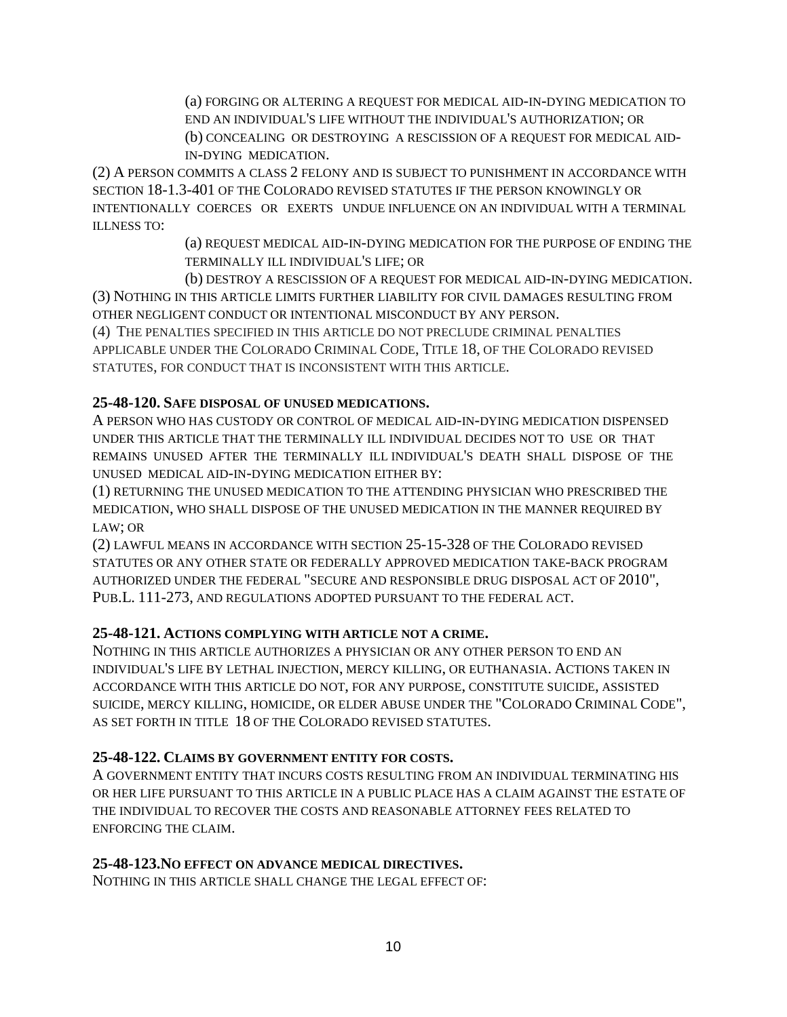(a) FORGING OR ALTERING A REQUEST FOR MEDICAL AID-IN-DYING MEDICATION TO END AN INDIVIDUAL'S LIFE WITHOUT THE INDIVIDUAL'S AUTHORIZATION; OR (b) CONCEALING OR DESTROYING A RESCISSION OF A REQUEST FOR MEDICAL AID-IN-DYING MEDICATION.

(2) A PERSON COMMITS A CLASS 2 FELONY AND IS SUBJECT TO PUNISHMENT IN ACCORDANCE WITH SECTION 18-1.3-401 OF THE COLORADO REVISED STATUTES IF THE PERSON KNOWINGLY OR INTENTIONALLY COERCES OR EXERTS UNDUE INFLUENCE ON AN INDIVIDUAL WITH A TERMINAL ILLNESS TO:

> (a) REQUEST MEDICAL AID-IN-DYING MEDICATION FOR THE PURPOSE OF ENDING THE TERMINALLY ILL INDIVIDUAL'S LIFE; OR

(b) DESTROY A RESCISSION OF A REQUEST FOR MEDICAL AID-IN-DYING MEDICATION. (3) NOTHING IN THIS ARTICLE LIMITS FURTHER LIABILITY FOR CIVIL DAMAGES RESULTING FROM OTHER NEGLIGENT CONDUCT OR INTENTIONAL MISCONDUCT BY ANY PERSON.

(4) THE PENALTIES SPECIFIED IN THIS ARTICLE DO NOT PRECLUDE CRIMINAL PENALTIES APPLICABLE UNDER THE COLORADO CRIMINAL CODE, TITLE 18, OF THE COLORADO REVISED STATUTES, FOR CONDUCT THAT IS INCONSISTENT WITH THIS ARTICLE.

## **25-48-120. SAFE DISPOSAL OF UNUSED MEDICATIONS.**

A PERSON WHO HAS CUSTODY OR CONTROL OF MEDICAL AID-IN-DYING MEDICATION DISPENSED UNDER THIS ARTICLE THAT THE TERMINALLY ILL INDIVIDUAL DECIDES NOT TO USE OR THAT REMAINS UNUSED AFTER THE TERMINALLY ILL INDIVIDUAL'S DEATH SHALL DISPOSE OF THE UNUSED MEDICAL AID-IN-DYING MEDICATION EITHER BY:

(1) RETURNING THE UNUSED MEDICATION TO THE ATTENDING PHYSICIAN WHO PRESCRIBED THE MEDICATION, WHO SHALL DISPOSE OF THE UNUSED MEDICATION IN THE MANNER REQUIRED BY LAW; OR

(2) LAWFUL MEANS IN ACCORDANCE WITH SECTION 25-15-328 OF THE COLORADO REVISED STATUTES OR ANY OTHER STATE OR FEDERALLY APPROVED MEDICATION TAKE-BACK PROGRAM AUTHORIZED UNDER THE FEDERAL "SECURE AND RESPONSIBLE DRUG DISPOSAL ACT OF 2010", PUB.L. 111-273, AND REGULATIONS ADOPTED PURSUANT TO THE FEDERAL ACT.

### **25-48-121. ACTIONS COMPLYING WITH ARTICLE NOT A CRIME.**

NOTHING IN THIS ARTICLE AUTHORIZES A PHYSICIAN OR ANY OTHER PERSON TO END AN INDIVIDUAL'S LIFE BY LETHAL INJECTION, MERCY KILLING, OR EUTHANASIA. ACTIONS TAKEN IN ACCORDANCE WITH THIS ARTICLE DO NOT, FOR ANY PURPOSE, CONSTITUTE SUICIDE, ASSISTED SUICIDE, MERCY KILLING, HOMICIDE, OR ELDER ABUSE UNDER THE "COLORADO CRIMINAL CODE", AS SET FORTH IN TITLE 18 OF THE COLORADO REVISED STATUTES.

### **25-48-122. CLAIMS BY GOVERNMENT ENTITY FOR COSTS.**

A GOVERNMENT ENTITY THAT INCURS COSTS RESULTING FROM AN INDIVIDUAL TERMINATING HIS OR HER LIFE PURSUANT TO THIS ARTICLE IN A PUBLIC PLACE HAS A CLAIM AGAINST THE ESTATE OF THE INDIVIDUAL TO RECOVER THE COSTS AND REASONABLE ATTORNEY FEES RELATED TO ENFORCING THE CLAIM.

### **25-48-123.NO EFFECT ON ADVANCE MEDICAL DIRECTIVES.**

NOTHING IN THIS ARTICLE SHALL CHANGE THE LEGAL EFFECT OF: